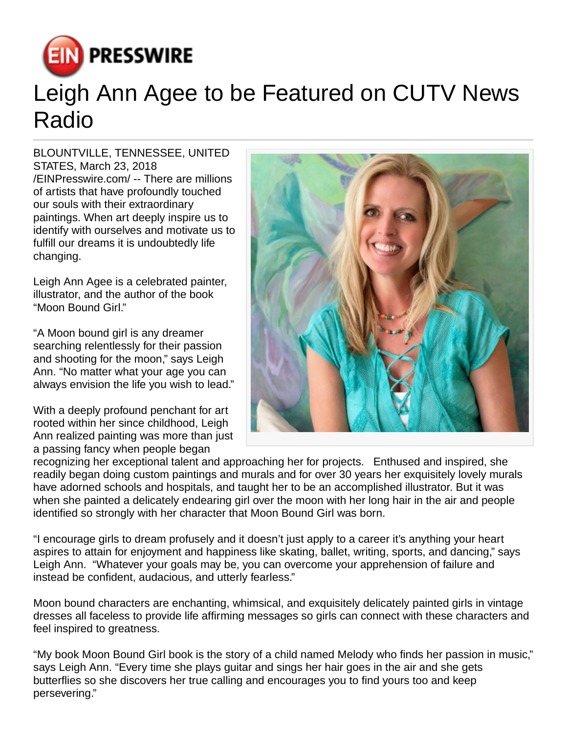

## Leigh Ann Agee to be Featured on CUTV News Radio

BLOUNTVILLE, TENNESSEE, UNITED STATES, March 23, 2018 [/EINPresswire.com](http://www.einpresswire.com)/ -- There are millions of artists that have profoundly touched our souls with their extraordinary paintings. When art deeply inspire us to identify with ourselves and motivate us to fulfill our dreams it is undoubtedly life changing.

Leigh Ann Agee is a celebrated painter, illustrator, and the author of the book "Moon Bound Girl."

"A Moon bound girl is any dreamer searching relentlessly for their passion and shooting for the moon," says Leigh Ann. "No matter what your age you can always envision the life you wish to lead."

With a deeply profound penchant for art rooted within her since childhood, Leigh Ann realized painting was more than just a passing fancy when people began



recognizing her exceptional talent and approaching her for projects. Enthused and inspired, she readily began doing custom paintings and murals and for over 30 years her exquisitely lovely murals have adorned schools and hospitals, and taught her to be an accomplished illustrator. But it was when she painted a delicately endearing girl over the moon with her long hair in the air and people identified so strongly with her character that Moon Bound Girl was born.

"I encourage girls to dream profusely and it doesn't just apply to a career it's anything your heart aspires to attain for enjoyment and happiness like skating, ballet, writing, sports, and dancing," says Leigh Ann. "Whatever your goals may be, you can overcome your apprehension of failure and instead be confident, audacious, and utterly fearless."

Moon bound characters are enchanting, whimsical, and exquisitely delicately painted girls in vintage dresses all faceless to provide life affirming messages so girls can connect with these characters and feel inspired to greatness.

"My book Moon Bound Girl book is the story of a child named Melody who finds her passion in music," says Leigh Ann. "Every time she plays guitar and sings her hair goes in the air and she gets butterflies so she discovers her true calling and encourages you to find yours too and keep persevering."